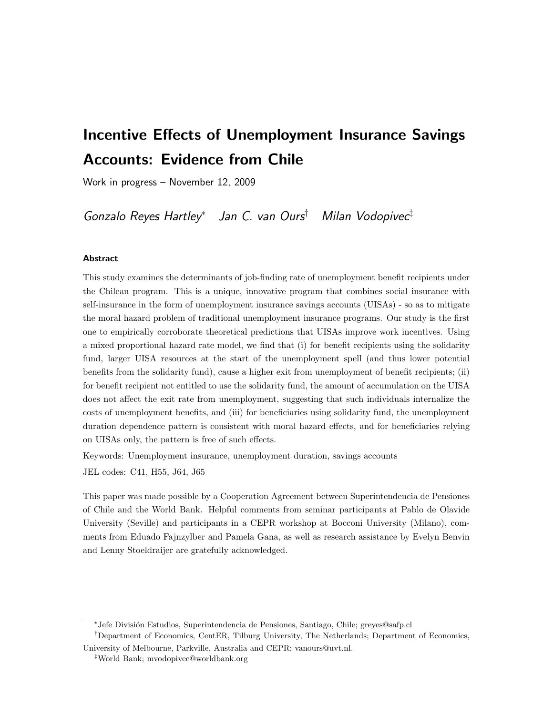# Incentive Effects of Unemployment Insurance Savings Accounts: Evidence from Chile

Work in progress – November 12, 2009

Gonzalo Reyes Hartley<sup>∗</sup> Jan C. van Ours† Milan Vodopivec‡

#### Abstract

This study examines the determinants of job-finding rate of unemployment benefit recipients under the Chilean program. This is a unique, innovative program that combines social insurance with self-insurance in the form of unemployment insurance savings accounts (UISAs) - so as to mitigate the moral hazard problem of traditional unemployment insurance programs. Our study is the first one to empirically corroborate theoretical predictions that UISAs improve work incentives. Using a mixed proportional hazard rate model, we find that (i) for benefit recipients using the solidarity fund, larger UISA resources at the start of the unemployment spell (and thus lower potential benefits from the solidarity fund), cause a higher exit from unemployment of benefit recipients; (ii) for benefit recipient not entitled to use the solidarity fund, the amount of accumulation on the UISA does not affect the exit rate from unemployment, suggesting that such individuals internalize the costs of unemployment benefits, and (iii) for beneficiaries using solidarity fund, the unemployment duration dependence pattern is consistent with moral hazard effects, and for beneficiaries relying on UISAs only, the pattern is free of such effects.

Keywords: Unemployment insurance, unemployment duration, savings accounts

JEL codes: C41, H55, J64, J65

This paper was made possible by a Cooperation Agreement between Superintendencia de Pensiones of Chile and the World Bank. Helpful comments from seminar participants at Pablo de Olavide University (Seville) and participants in a CEPR workshop at Bocconi University (Milano), comments from Eduado Fajnzylber and Pamela Gana, as well as research assistance by Evelyn Benvin and Lenny Stoeldraijer are gratefully acknowledged.

<sup>\*</sup>Jefe División Estudios, Superintendencia de Pensiones, Santiago, Chile; greyes@safp.cl

<sup>†</sup>Department of Economics, CentER, Tilburg University, The Netherlands; Department of Economics, University of Melbourne, Parkville, Australia and CEPR; vanours@uvt.nl.

<sup>‡</sup>World Bank; mvodopivec@worldbank.org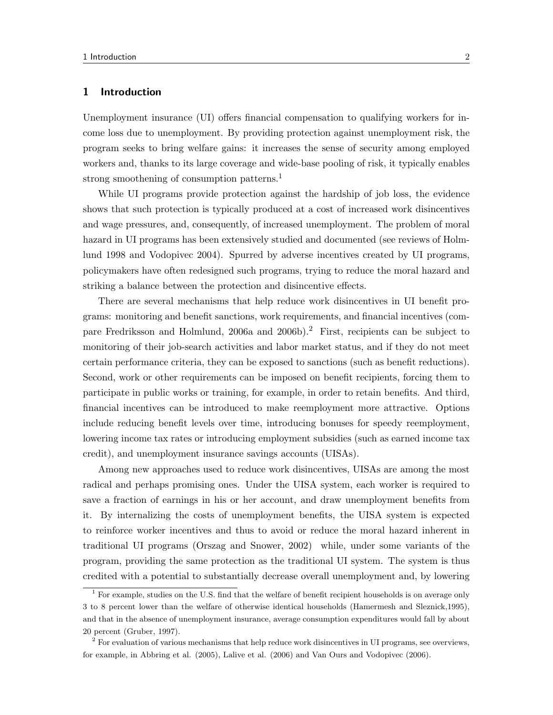## 1 Introduction

Unemployment insurance (UI) offers financial compensation to qualifying workers for income loss due to unemployment. By providing protection against unemployment risk, the program seeks to bring welfare gains: it increases the sense of security among employed workers and, thanks to its large coverage and wide-base pooling of risk, it typically enables strong smoothening of consumption patterns.<sup>1</sup>

While UI programs provide protection against the hardship of job loss, the evidence shows that such protection is typically produced at a cost of increased work disincentives and wage pressures, and, consequently, of increased unemployment. The problem of moral hazard in UI programs has been extensively studied and documented (see reviews of Holmlund 1998 and Vodopivec 2004). Spurred by adverse incentives created by UI programs, policymakers have often redesigned such programs, trying to reduce the moral hazard and striking a balance between the protection and disincentive effects.

There are several mechanisms that help reduce work disincentives in UI benefit programs: monitoring and benefit sanctions, work requirements, and financial incentives (compare Fredriksson and Holmlund, 2006a and 2006b).<sup>2</sup> First, recipients can be subject to monitoring of their job-search activities and labor market status, and if they do not meet certain performance criteria, they can be exposed to sanctions (such as benefit reductions). Second, work or other requirements can be imposed on benefit recipients, forcing them to participate in public works or training, for example, in order to retain benefits. And third, financial incentives can be introduced to make reemployment more attractive. Options include reducing benefit levels over time, introducing bonuses for speedy reemployment, lowering income tax rates or introducing employment subsidies (such as earned income tax credit), and unemployment insurance savings accounts (UISAs).

Among new approaches used to reduce work disincentives, UISAs are among the most radical and perhaps promising ones. Under the UISA system, each worker is required to save a fraction of earnings in his or her account, and draw unemployment benefits from it. By internalizing the costs of unemployment benefits, the UISA system is expected to reinforce worker incentives and thus to avoid or reduce the moral hazard inherent in traditional UI programs (Orszag and Snower, 2002) while, under some variants of the program, providing the same protection as the traditional UI system. The system is thus credited with a potential to substantially decrease overall unemployment and, by lowering

<sup>&</sup>lt;sup>1</sup> For example, studies on the U.S. find that the welfare of benefit recipient households is on average only 3 to 8 percent lower than the welfare of otherwise identical households (Hamermesh and Sleznick,1995), and that in the absence of unemployment insurance, average consumption expenditures would fall by about 20 percent (Gruber, 1997).

<sup>2</sup> For evaluation of various mechanisms that help reduce work disincentives in UI programs, see overviews, for example, in Abbring et al. (2005), Lalive et al. (2006) and Van Ours and Vodopivec (2006).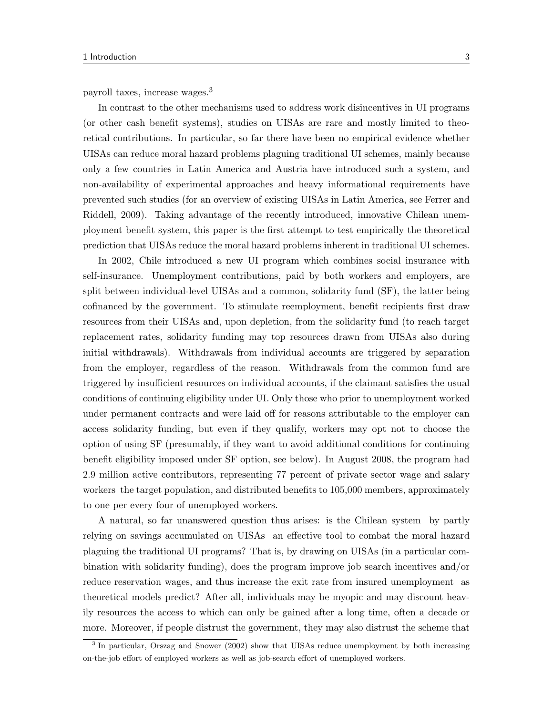payroll taxes, increase wages.<sup>3</sup>

In contrast to the other mechanisms used to address work disincentives in UI programs (or other cash benefit systems), studies on UISAs are rare and mostly limited to theoretical contributions. In particular, so far there have been no empirical evidence whether UISAs can reduce moral hazard problems plaguing traditional UI schemes, mainly because only a few countries in Latin America and Austria have introduced such a system, and non-availability of experimental approaches and heavy informational requirements have prevented such studies (for an overview of existing UISAs in Latin America, see Ferrer and Riddell, 2009). Taking advantage of the recently introduced, innovative Chilean unemployment benefit system, this paper is the first attempt to test empirically the theoretical prediction that UISAs reduce the moral hazard problems inherent in traditional UI schemes.

In 2002, Chile introduced a new UI program which combines social insurance with self-insurance. Unemployment contributions, paid by both workers and employers, are split between individual-level UISAs and a common, solidarity fund (SF), the latter being cofinanced by the government. To stimulate reemployment, benefit recipients first draw resources from their UISAs and, upon depletion, from the solidarity fund (to reach target replacement rates, solidarity funding may top resources drawn from UISAs also during initial withdrawals). Withdrawals from individual accounts are triggered by separation from the employer, regardless of the reason. Withdrawals from the common fund are triggered by insufficient resources on individual accounts, if the claimant satisfies the usual conditions of continuing eligibility under UI. Only those who prior to unemployment worked under permanent contracts and were laid off for reasons attributable to the employer can access solidarity funding, but even if they qualify, workers may opt not to choose the option of using SF (presumably, if they want to avoid additional conditions for continuing benefit eligibility imposed under SF option, see below). In August 2008, the program had 2.9 million active contributors, representing 77 percent of private sector wage and salary workers the target population, and distributed benefits to 105,000 members, approximately to one per every four of unemployed workers.

A natural, so far unanswered question thus arises: is the Chilean system by partly relying on savings accumulated on UISAs an effective tool to combat the moral hazard plaguing the traditional UI programs? That is, by drawing on UISAs (in a particular combination with solidarity funding), does the program improve job search incentives and/or reduce reservation wages, and thus increase the exit rate from insured unemployment as theoretical models predict? After all, individuals may be myopic and may discount heavily resources the access to which can only be gained after a long time, often a decade or more. Moreover, if people distrust the government, they may also distrust the scheme that

<sup>&</sup>lt;sup>3</sup> In particular, Orszag and Snower (2002) show that UISAs reduce unemployment by both increasing on-the-job effort of employed workers as well as job-search effort of unemployed workers.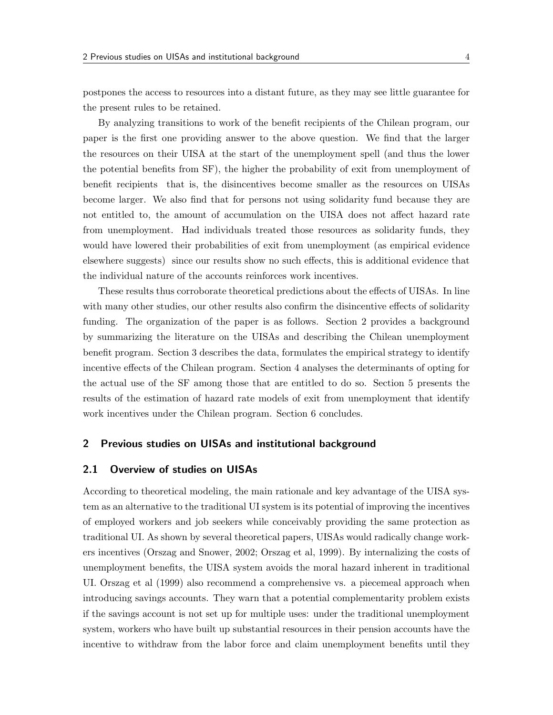postpones the access to resources into a distant future, as they may see little guarantee for the present rules to be retained.

By analyzing transitions to work of the benefit recipients of the Chilean program, our paper is the first one providing answer to the above question. We find that the larger the resources on their UISA at the start of the unemployment spell (and thus the lower the potential benefits from SF), the higher the probability of exit from unemployment of benefit recipients that is, the disincentives become smaller as the resources on UISAs become larger. We also find that for persons not using solidarity fund because they are not entitled to, the amount of accumulation on the UISA does not affect hazard rate from unemployment. Had individuals treated those resources as solidarity funds, they would have lowered their probabilities of exit from unemployment (as empirical evidence elsewhere suggests) since our results show no such effects, this is additional evidence that the individual nature of the accounts reinforces work incentives.

These results thus corroborate theoretical predictions about the effects of UISAs. In line with many other studies, our other results also confirm the disincentive effects of solidarity funding. The organization of the paper is as follows. Section 2 provides a background by summarizing the literature on the UISAs and describing the Chilean unemployment benefit program. Section 3 describes the data, formulates the empirical strategy to identify incentive effects of the Chilean program. Section 4 analyses the determinants of opting for the actual use of the SF among those that are entitled to do so. Section 5 presents the results of the estimation of hazard rate models of exit from unemployment that identify work incentives under the Chilean program. Section 6 concludes.

## 2 Previous studies on UISAs and institutional background

#### 2.1 Overview of studies on UISAs

According to theoretical modeling, the main rationale and key advantage of the UISA system as an alternative to the traditional UI system is its potential of improving the incentives of employed workers and job seekers while conceivably providing the same protection as traditional UI. As shown by several theoretical papers, UISAs would radically change workers incentives (Orszag and Snower, 2002; Orszag et al, 1999). By internalizing the costs of unemployment benefits, the UISA system avoids the moral hazard inherent in traditional UI. Orszag et al (1999) also recommend a comprehensive vs. a piecemeal approach when introducing savings accounts. They warn that a potential complementarity problem exists if the savings account is not set up for multiple uses: under the traditional unemployment system, workers who have built up substantial resources in their pension accounts have the incentive to withdraw from the labor force and claim unemployment benefits until they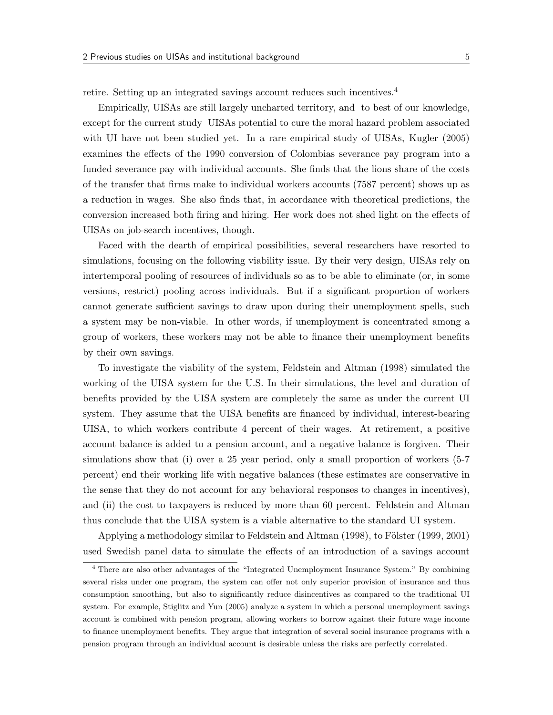retire. Setting up an integrated savings account reduces such incentives.<sup>4</sup>

Empirically, UISAs are still largely uncharted territory, and to best of our knowledge, except for the current study UISAs potential to cure the moral hazard problem associated with UI have not been studied yet. In a rare empirical study of UISAs, Kugler (2005) examines the effects of the 1990 conversion of Colombias severance pay program into a funded severance pay with individual accounts. She finds that the lions share of the costs of the transfer that firms make to individual workers accounts (7587 percent) shows up as a reduction in wages. She also finds that, in accordance with theoretical predictions, the conversion increased both firing and hiring. Her work does not shed light on the effects of UISAs on job-search incentives, though.

Faced with the dearth of empirical possibilities, several researchers have resorted to simulations, focusing on the following viability issue. By their very design, UISAs rely on intertemporal pooling of resources of individuals so as to be able to eliminate (or, in some versions, restrict) pooling across individuals. But if a significant proportion of workers cannot generate sufficient savings to draw upon during their unemployment spells, such a system may be non-viable. In other words, if unemployment is concentrated among a group of workers, these workers may not be able to finance their unemployment benefits by their own savings.

To investigate the viability of the system, Feldstein and Altman (1998) simulated the working of the UISA system for the U.S. In their simulations, the level and duration of benefits provided by the UISA system are completely the same as under the current UI system. They assume that the UISA benefits are financed by individual, interest-bearing UISA, to which workers contribute 4 percent of their wages. At retirement, a positive account balance is added to a pension account, and a negative balance is forgiven. Their simulations show that (i) over a 25 year period, only a small proportion of workers (5-7 percent) end their working life with negative balances (these estimates are conservative in the sense that they do not account for any behavioral responses to changes in incentives), and (ii) the cost to taxpayers is reduced by more than 60 percent. Feldstein and Altman thus conclude that the UISA system is a viable alternative to the standard UI system.

Applying a methodology similar to Feldstein and Altman (1998), to Fölster (1999, 2001) used Swedish panel data to simulate the effects of an introduction of a savings account

<sup>4</sup> There are also other advantages of the "Integrated Unemployment Insurance System." By combining several risks under one program, the system can offer not only superior provision of insurance and thus consumption smoothing, but also to significantly reduce disincentives as compared to the traditional UI system. For example, Stiglitz and Yun (2005) analyze a system in which a personal unemployment savings account is combined with pension program, allowing workers to borrow against their future wage income to finance unemployment benefits. They argue that integration of several social insurance programs with a pension program through an individual account is desirable unless the risks are perfectly correlated.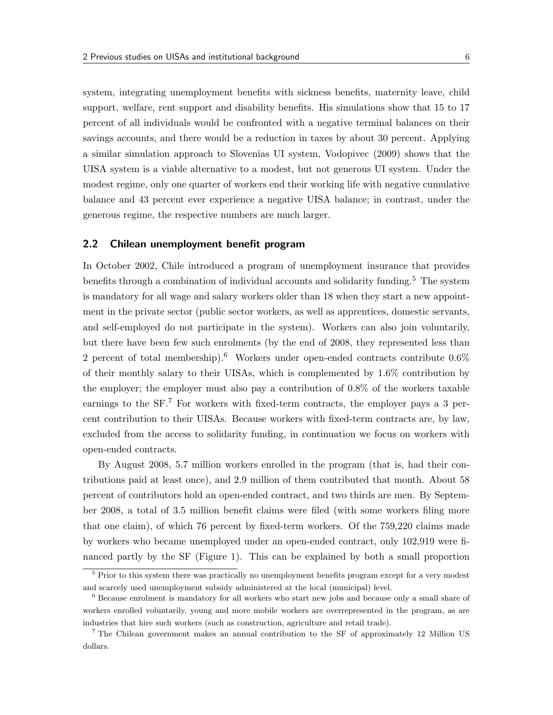system, integrating unemployment benefits with sickness benefits, maternity leave, child support, welfare, rent support and disability benefits. His simulations show that 15 to 17 percent of all individuals would be confronted with a negative terminal balances on their savings accounts, and there would be a reduction in taxes by about 30 percent. Applying a similar simulation approach to Slovenias UI system, Vodopivec (2009) shows that the UISA system is a viable alternative to a modest, but not generous UI system. Under the modest regime, only one quarter of workers end their working life with negative cumulative balance and 43 percent ever experience a negative UISA balance; in contrast, under the generous regime, the respective numbers are much larger.

#### 2.2 Chilean unemployment benefit program

In October 2002, Chile introduced a program of unemployment insurance that provides benefits through a combination of individual accounts and solidarity funding.<sup>5</sup> The system is mandatory for all wage and salary workers older than 18 when they start a new appointment in the private sector (public sector workers, as well as apprentices, domestic servants, and self-employed do not participate in the system). Workers can also join voluntarily, but there have been few such enrolments (by the end of 2008, they represented less than 2 percent of total membership).<sup>6</sup> Workers under open-ended contracts contribute  $0.6\%$ of their monthly salary to their UISAs, which is complemented by 1.6% contribution by the employer; the employer must also pay a contribution of 0.8% of the workers taxable earnings to the  $SF<sup>7</sup>$  For workers with fixed-term contracts, the employer pays a 3 percent contribution to their UISAs. Because workers with fixed-term contracts are, by law, excluded from the access to solidarity funding, in continuation we focus on workers with open-ended contracts.

By August 2008, 5.7 million workers enrolled in the program (that is, had their contributions paid at least once), and 2.9 million of them contributed that month. About 58 percent of contributors hold an open-ended contract, and two thirds are men. By September 2008, a total of 3.5 million benefit claims were filed (with some workers filing more that one claim), of which 76 percent by fixed-term workers. Of the 759,220 claims made by workers who became unemployed under an open-ended contract, only 102,919 were financed partly by the SF (Figure 1). This can be explained by both a small proportion

<sup>&</sup>lt;sup>5</sup> Prior to this system there was practically no unemployment benefits program except for a very modest and scarcely used unemployment subsidy administered at the local (municipal) level.

<sup>&</sup>lt;sup>6</sup> Because enrolment is mandatory for all workers who start new jobs and because only a small share of workers enrolled voluntarily, young and more mobile workers are overrepresented in the program, as are industries that hire such workers (such as construction, agriculture and retail trade).

<sup>7</sup> The Chilean government makes an annual contribution to the SF of approximately 12 Million US dollars.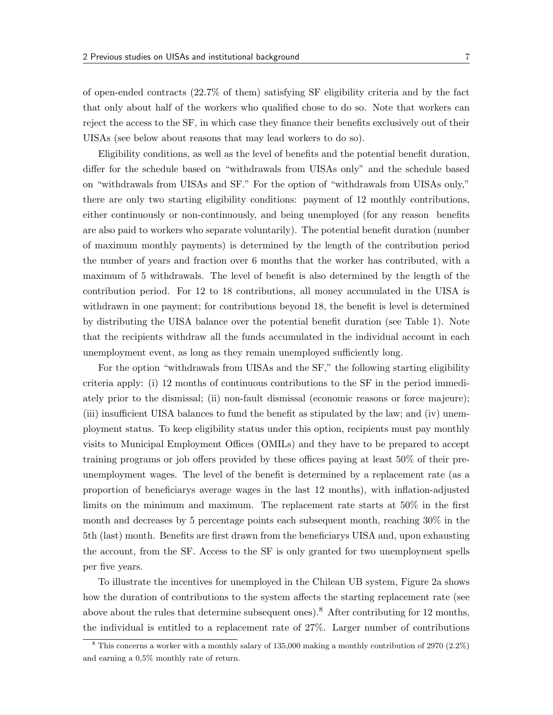of open-ended contracts (22.7% of them) satisfying SF eligibility criteria and by the fact that only about half of the workers who qualified chose to do so. Note that workers can reject the access to the SF, in which case they finance their benefits exclusively out of their UISAs (see below about reasons that may lead workers to do so).

Eligibility conditions, as well as the level of benefits and the potential benefit duration, differ for the schedule based on "withdrawals from UISAs only" and the schedule based on "withdrawals from UISAs and SF." For the option of "withdrawals from UISAs only," there are only two starting eligibility conditions: payment of 12 monthly contributions, either continuously or non-continuously, and being unemployed (for any reason benefits are also paid to workers who separate voluntarily). The potential benefit duration (number of maximum monthly payments) is determined by the length of the contribution period the number of years and fraction over 6 months that the worker has contributed, with a maximum of 5 withdrawals. The level of benefit is also determined by the length of the contribution period. For 12 to 18 contributions, all money accumulated in the UISA is withdrawn in one payment; for contributions beyond 18, the benefit is level is determined by distributing the UISA balance over the potential benefit duration (see Table 1). Note that the recipients withdraw all the funds accumulated in the individual account in each unemployment event, as long as they remain unemployed sufficiently long.

For the option "withdrawals from UISAs and the SF," the following starting eligibility criteria apply: (i) 12 months of continuous contributions to the SF in the period immediately prior to the dismissal; (ii) non-fault dismissal (economic reasons or force majeure); (iii) insufficient UISA balances to fund the benefit as stipulated by the law; and (iv) unemployment status. To keep eligibility status under this option, recipients must pay monthly visits to Municipal Employment Offices (OMILs) and they have to be prepared to accept training programs or job offers provided by these offices paying at least 50% of their preunemployment wages. The level of the benefit is determined by a replacement rate (as a proportion of beneficiarys average wages in the last 12 months), with inflation-adjusted limits on the minimum and maximum. The replacement rate starts at 50% in the first month and decreases by 5 percentage points each subsequent month, reaching 30% in the 5th (last) month. Benefits are first drawn from the beneficiarys UISA and, upon exhausting the account, from the SF. Access to the SF is only granted for two unemployment spells per five years.

To illustrate the incentives for unemployed in the Chilean UB system, Figure 2a shows how the duration of contributions to the system affects the starting replacement rate (see above about the rules that determine subsequent ones).<sup>8</sup> After contributing for 12 months, the individual is entitled to a replacement rate of 27%. Larger number of contributions

<sup>8</sup> This concerns a worker with a monthly salary of 135,000 making a monthly contribution of 2970 (2.2%) and earning a 0,5% monthly rate of return.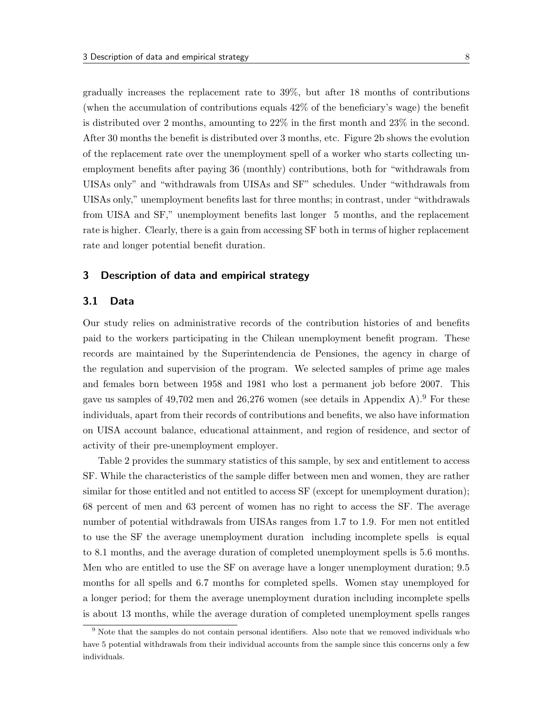gradually increases the replacement rate to 39%, but after 18 months of contributions (when the accumulation of contributions equals 42% of the beneficiary's wage) the benefit is distributed over 2 months, amounting to 22% in the first month and 23% in the second. After 30 months the benefit is distributed over 3 months, etc. Figure 2b shows the evolution of the replacement rate over the unemployment spell of a worker who starts collecting unemployment benefits after paying 36 (monthly) contributions, both for "withdrawals from UISAs only" and "withdrawals from UISAs and SF" schedules. Under "withdrawals from UISAs only," unemployment benefits last for three months; in contrast, under "withdrawals from UISA and SF," unemployment benefits last longer 5 months, and the replacement rate is higher. Clearly, there is a gain from accessing SF both in terms of higher replacement rate and longer potential benefit duration.

#### 3 Description of data and empirical strategy

#### 3.1 Data

Our study relies on administrative records of the contribution histories of and benefits paid to the workers participating in the Chilean unemployment benefit program. These records are maintained by the Superintendencia de Pensiones, the agency in charge of the regulation and supervision of the program. We selected samples of prime age males and females born between 1958 and 1981 who lost a permanent job before 2007. This gave us samples of 49,702 men and 26,276 women (see details in Appendix A).<sup>9</sup> For these individuals, apart from their records of contributions and benefits, we also have information on UISA account balance, educational attainment, and region of residence, and sector of activity of their pre-unemployment employer.

Table 2 provides the summary statistics of this sample, by sex and entitlement to access SF. While the characteristics of the sample differ between men and women, they are rather similar for those entitled and not entitled to access SF (except for unemployment duration); 68 percent of men and 63 percent of women has no right to access the SF. The average number of potential withdrawals from UISAs ranges from 1.7 to 1.9. For men not entitled to use the SF the average unemployment duration including incomplete spells is equal to 8.1 months, and the average duration of completed unemployment spells is 5.6 months. Men who are entitled to use the SF on average have a longer unemployment duration; 9.5 months for all spells and 6.7 months for completed spells. Women stay unemployed for a longer period; for them the average unemployment duration including incomplete spells is about 13 months, while the average duration of completed unemployment spells ranges

 $9$  Note that the samples do not contain personal identifiers. Also note that we removed individuals who have 5 potential withdrawals from their individual accounts from the sample since this concerns only a few individuals.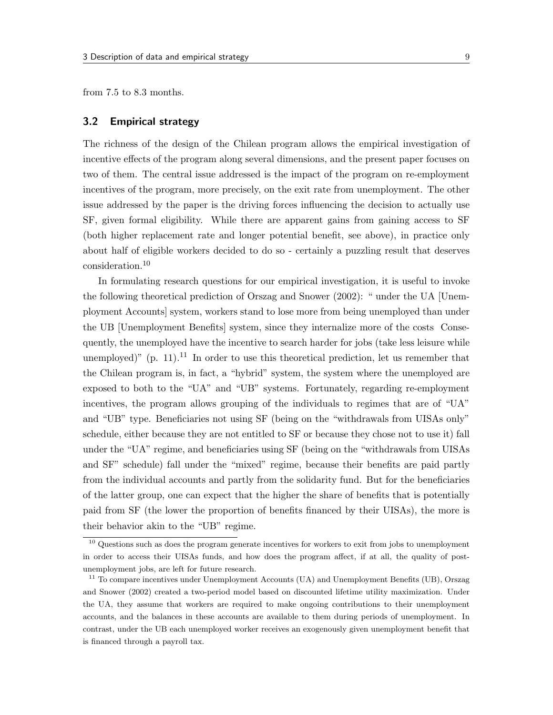from 7.5 to 8.3 months.

#### 3.2 Empirical strategy

The richness of the design of the Chilean program allows the empirical investigation of incentive effects of the program along several dimensions, and the present paper focuses on two of them. The central issue addressed is the impact of the program on re-employment incentives of the program, more precisely, on the exit rate from unemployment. The other issue addressed by the paper is the driving forces influencing the decision to actually use SF, given formal eligibility. While there are apparent gains from gaining access to SF (both higher replacement rate and longer potential benefit, see above), in practice only about half of eligible workers decided to do so - certainly a puzzling result that deserves consideration.<sup>10</sup>

In formulating research questions for our empirical investigation, it is useful to invoke the following theoretical prediction of Orszag and Snower (2002): " under the UA [Unemployment Accounts] system, workers stand to lose more from being unemployed than under the UB [Unemployment Benefits] system, since they internalize more of the costs Consequently, the unemployed have the incentive to search harder for jobs (take less leisure while unemployed)" (p. 11).<sup>11</sup> In order to use this theoretical prediction, let us remember that the Chilean program is, in fact, a "hybrid" system, the system where the unemployed are exposed to both to the "UA" and "UB" systems. Fortunately, regarding re-employment incentives, the program allows grouping of the individuals to regimes that are of "UA" and "UB" type. Beneficiaries not using SF (being on the "withdrawals from UISAs only" schedule, either because they are not entitled to SF or because they chose not to use it) fall under the "UA" regime, and beneficiaries using SF (being on the "withdrawals from UISAs and SF" schedule) fall under the "mixed" regime, because their benefits are paid partly from the individual accounts and partly from the solidarity fund. But for the beneficiaries of the latter group, one can expect that the higher the share of benefits that is potentially paid from SF (the lower the proportion of benefits financed by their UISAs), the more is their behavior akin to the "UB" regime.

<sup>&</sup>lt;sup>10</sup> Questions such as does the program generate incentives for workers to exit from jobs to unemployment in order to access their UISAs funds, and how does the program affect, if at all, the quality of postunemployment jobs, are left for future research.

<sup>&</sup>lt;sup>11</sup> To compare incentives under Unemployment Accounts (UA) and Unemployment Benefits (UB), Orszag and Snower (2002) created a two-period model based on discounted lifetime utility maximization. Under the UA, they assume that workers are required to make ongoing contributions to their unemployment accounts, and the balances in these accounts are available to them during periods of unemployment. In contrast, under the UB each unemployed worker receives an exogenously given unemployment benefit that is financed through a payroll tax.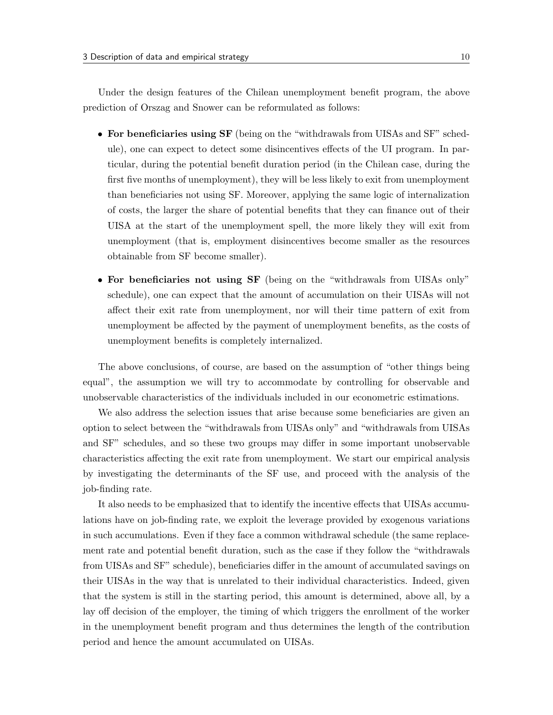Under the design features of the Chilean unemployment benefit program, the above prediction of Orszag and Snower can be reformulated as follows:

- For beneficiaries using SF (being on the "withdrawals from UISAs and SF" schedule), one can expect to detect some disincentives effects of the UI program. In particular, during the potential benefit duration period (in the Chilean case, during the first five months of unemployment), they will be less likely to exit from unemployment than beneficiaries not using SF. Moreover, applying the same logic of internalization of costs, the larger the share of potential benefits that they can finance out of their UISA at the start of the unemployment spell, the more likely they will exit from unemployment (that is, employment disincentives become smaller as the resources obtainable from SF become smaller).
- For beneficiaries not using SF (being on the "withdrawals from UISAs only" schedule), one can expect that the amount of accumulation on their UISAs will not affect their exit rate from unemployment, nor will their time pattern of exit from unemployment be affected by the payment of unemployment benefits, as the costs of unemployment benefits is completely internalized.

The above conclusions, of course, are based on the assumption of "other things being equal", the assumption we will try to accommodate by controlling for observable and unobservable characteristics of the individuals included in our econometric estimations.

We also address the selection issues that arise because some beneficiaries are given an option to select between the "withdrawals from UISAs only" and "withdrawals from UISAs and SF" schedules, and so these two groups may differ in some important unobservable characteristics affecting the exit rate from unemployment. We start our empirical analysis by investigating the determinants of the SF use, and proceed with the analysis of the job-finding rate.

It also needs to be emphasized that to identify the incentive effects that UISAs accumulations have on job-finding rate, we exploit the leverage provided by exogenous variations in such accumulations. Even if they face a common withdrawal schedule (the same replacement rate and potential benefit duration, such as the case if they follow the "withdrawals from UISAs and SF" schedule), beneficiaries differ in the amount of accumulated savings on their UISAs in the way that is unrelated to their individual characteristics. Indeed, given that the system is still in the starting period, this amount is determined, above all, by a lay off decision of the employer, the timing of which triggers the enrollment of the worker in the unemployment benefit program and thus determines the length of the contribution period and hence the amount accumulated on UISAs.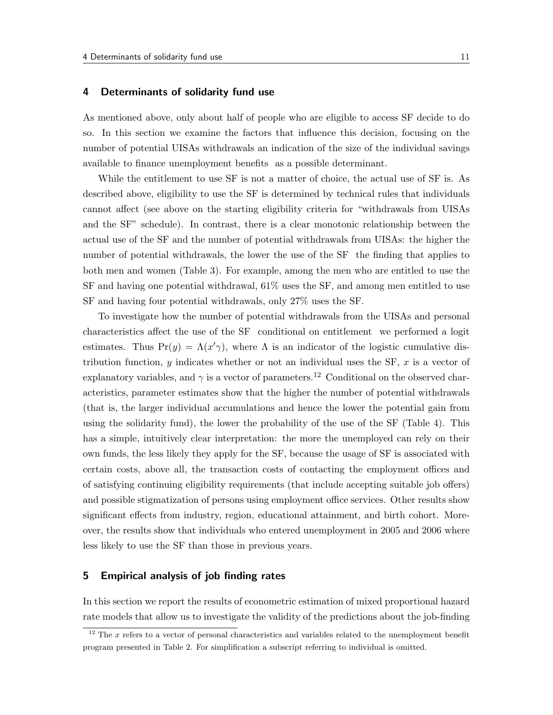#### 4 Determinants of solidarity fund use

As mentioned above, only about half of people who are eligible to access SF decide to do so. In this section we examine the factors that influence this decision, focusing on the number of potential UISAs withdrawals an indication of the size of the individual savings available to finance unemployment benefits as a possible determinant.

While the entitlement to use SF is not a matter of choice, the actual use of SF is. As described above, eligibility to use the SF is determined by technical rules that individuals cannot affect (see above on the starting eligibility criteria for "withdrawals from UISAs and the SF" schedule). In contrast, there is a clear monotonic relationship between the actual use of the SF and the number of potential withdrawals from UISAs: the higher the number of potential withdrawals, the lower the use of the SF the finding that applies to both men and women (Table 3). For example, among the men who are entitled to use the SF and having one potential withdrawal, 61% uses the SF, and among men entitled to use SF and having four potential withdrawals, only 27% uses the SF.

To investigate how the number of potential withdrawals from the UISAs and personal characteristics affect the use of the SF conditional on entitlement we performed a logit estimates. Thus  $Pr(y) = \Lambda(x'\gamma)$ , where  $\Lambda$  is an indicator of the logistic cumulative distribution function,  $y$  indicates whether or not an individual uses the SF,  $x$  is a vector of explanatory variables, and  $\gamma$  is a vector of parameters.<sup>12</sup> Conditional on the observed characteristics, parameter estimates show that the higher the number of potential withdrawals (that is, the larger individual accumulations and hence the lower the potential gain from using the solidarity fund), the lower the probability of the use of the SF (Table 4). This has a simple, intuitively clear interpretation: the more the unemployed can rely on their own funds, the less likely they apply for the SF, because the usage of SF is associated with certain costs, above all, the transaction costs of contacting the employment offices and of satisfying continuing eligibility requirements (that include accepting suitable job offers) and possible stigmatization of persons using employment office services. Other results show significant effects from industry, region, educational attainment, and birth cohort. Moreover, the results show that individuals who entered unemployment in 2005 and 2006 where less likely to use the SF than those in previous years.

#### 5 Empirical analysis of job finding rates

In this section we report the results of econometric estimation of mixed proportional hazard rate models that allow us to investigate the validity of the predictions about the job-finding

 $12$  The x refers to a vector of personal characteristics and variables related to the unemployment benefit program presented in Table 2. For simplification a subscript referring to individual is omitted.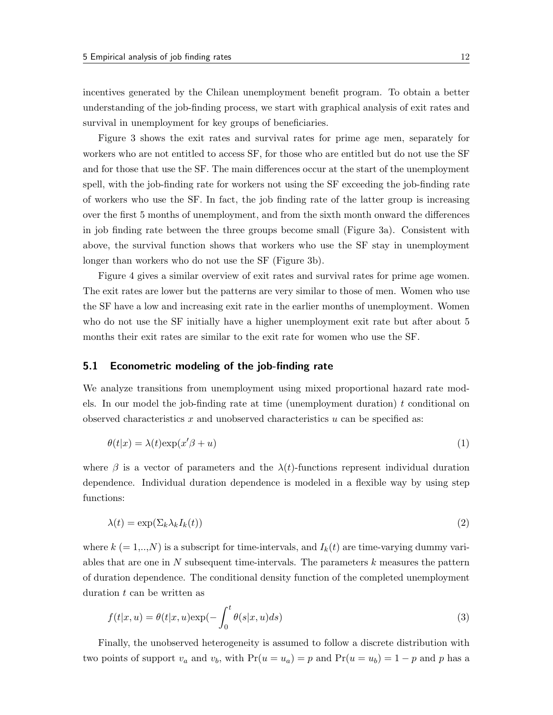incentives generated by the Chilean unemployment benefit program. To obtain a better understanding of the job-finding process, we start with graphical analysis of exit rates and survival in unemployment for key groups of beneficiaries.

Figure 3 shows the exit rates and survival rates for prime age men, separately for workers who are not entitled to access SF, for those who are entitled but do not use the SF and for those that use the SF. The main differences occur at the start of the unemployment spell, with the job-finding rate for workers not using the SF exceeding the job-finding rate of workers who use the SF. In fact, the job finding rate of the latter group is increasing over the first 5 months of unemployment, and from the sixth month onward the differences in job finding rate between the three groups become small (Figure 3a). Consistent with above, the survival function shows that workers who use the SF stay in unemployment longer than workers who do not use the SF (Figure 3b).

Figure 4 gives a similar overview of exit rates and survival rates for prime age women. The exit rates are lower but the patterns are very similar to those of men. Women who use the SF have a low and increasing exit rate in the earlier months of unemployment. Women who do not use the SF initially have a higher unemployment exit rate but after about 5 months their exit rates are similar to the exit rate for women who use the SF.

#### 5.1 Econometric modeling of the job-finding rate

We analyze transitions from unemployment using mixed proportional hazard rate models. In our model the job-finding rate at time (unemployment duration) t conditional on observed characteristics  $x$  and unobserved characteristics  $u$  can be specified as:

$$
\theta(t|x) = \lambda(t) \exp(x'\beta + u) \tag{1}
$$

where  $\beta$  is a vector of parameters and the  $\lambda(t)$ -functions represent individual duration dependence. Individual duration dependence is modeled in a flexible way by using step functions:

$$
\lambda(t) = \exp(\Sigma_k \lambda_k I_k(t))
$$
\n(2)

where  $k (= 1,..,N)$  is a subscript for time-intervals, and  $I_k(t)$  are time-varying dummy variables that are one in N subsequent time-intervals. The parameters k measures the pattern of duration dependence. The conditional density function of the completed unemployment duration  $t$  can be written as

$$
f(t|x,u) = \theta(t|x,u)\exp(-\int_0^t \theta(s|x,u)ds)
$$
\n(3)

Finally, the unobserved heterogeneity is assumed to follow a discrete distribution with two points of support  $v_a$  and  $v_b$ , with  $Pr(u = u_a) = p$  and  $Pr(u = u_b) = 1 - p$  and p has a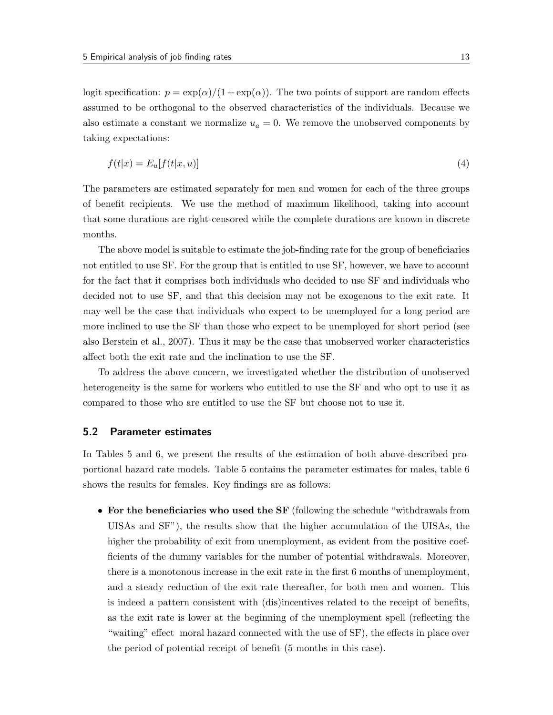logit specification:  $p = \exp(\alpha)/(1 + \exp(\alpha))$ . The two points of support are random effects assumed to be orthogonal to the observed characteristics of the individuals. Because we also estimate a constant we normalize  $u_a = 0$ . We remove the unobserved components by taking expectations:

$$
f(t|x) = E_u[f(t|x, u)]
$$
\n(4)

The parameters are estimated separately for men and women for each of the three groups of benefit recipients. We use the method of maximum likelihood, taking into account that some durations are right-censored while the complete durations are known in discrete months.

The above model is suitable to estimate the job-finding rate for the group of beneficiaries not entitled to use SF. For the group that is entitled to use SF, however, we have to account for the fact that it comprises both individuals who decided to use SF and individuals who decided not to use SF, and that this decision may not be exogenous to the exit rate. It may well be the case that individuals who expect to be unemployed for a long period are more inclined to use the SF than those who expect to be unemployed for short period (see also Berstein et al., 2007). Thus it may be the case that unobserved worker characteristics affect both the exit rate and the inclination to use the SF.

To address the above concern, we investigated whether the distribution of unobserved heterogeneity is the same for workers who entitled to use the SF and who opt to use it as compared to those who are entitled to use the SF but choose not to use it.

### 5.2 Parameter estimates

In Tables 5 and 6, we present the results of the estimation of both above-described proportional hazard rate models. Table 5 contains the parameter estimates for males, table 6 shows the results for females. Key findings are as follows:

• For the beneficiaries who used the SF (following the schedule "withdrawals from UISAs and SF"), the results show that the higher accumulation of the UISAs, the higher the probability of exit from unemployment, as evident from the positive coefficients of the dummy variables for the number of potential withdrawals. Moreover, there is a monotonous increase in the exit rate in the first 6 months of unemployment, and a steady reduction of the exit rate thereafter, for both men and women. This is indeed a pattern consistent with (dis)incentives related to the receipt of benefits, as the exit rate is lower at the beginning of the unemployment spell (reflecting the "waiting" effect moral hazard connected with the use of SF), the effects in place over the period of potential receipt of benefit (5 months in this case).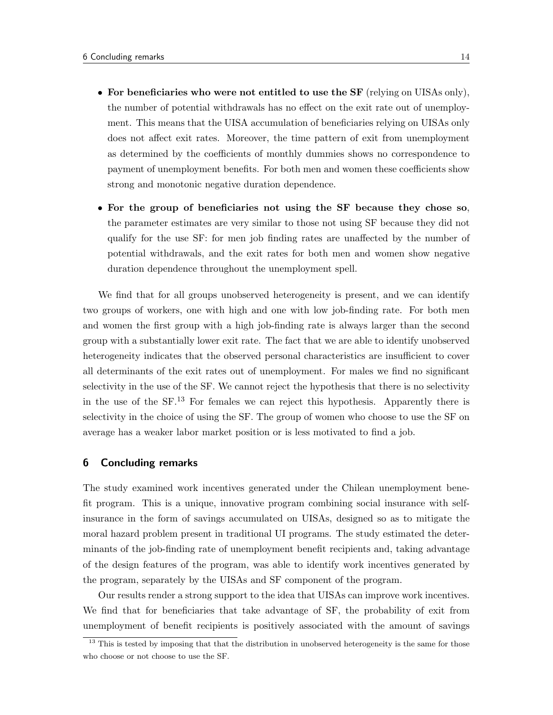- For beneficiaries who were not entitled to use the  $SF$  (relying on UISAs only), the number of potential withdrawals has no effect on the exit rate out of unemployment. This means that the UISA accumulation of beneficiaries relying on UISAs only does not affect exit rates. Moreover, the time pattern of exit from unemployment as determined by the coefficients of monthly dummies shows no correspondence to payment of unemployment benefits. For both men and women these coefficients show strong and monotonic negative duration dependence.
- For the group of beneficiaries not using the SF because they chose so, the parameter estimates are very similar to those not using SF because they did not qualify for the use SF: for men job finding rates are unaffected by the number of potential withdrawals, and the exit rates for both men and women show negative duration dependence throughout the unemployment spell.

We find that for all groups unobserved heterogeneity is present, and we can identify two groups of workers, one with high and one with low job-finding rate. For both men and women the first group with a high job-finding rate is always larger than the second group with a substantially lower exit rate. The fact that we are able to identify unobserved heterogeneity indicates that the observed personal characteristics are insufficient to cover all determinants of the exit rates out of unemployment. For males we find no significant selectivity in the use of the SF. We cannot reject the hypothesis that there is no selectivity in the use of the  $SF^{13}$  For females we can reject this hypothesis. Apparently there is selectivity in the choice of using the SF. The group of women who choose to use the SF on average has a weaker labor market position or is less motivated to find a job.

# 6 Concluding remarks

The study examined work incentives generated under the Chilean unemployment benefit program. This is a unique, innovative program combining social insurance with selfinsurance in the form of savings accumulated on UISAs, designed so as to mitigate the moral hazard problem present in traditional UI programs. The study estimated the determinants of the job-finding rate of unemployment benefit recipients and, taking advantage of the design features of the program, was able to identify work incentives generated by the program, separately by the UISAs and SF component of the program.

Our results render a strong support to the idea that UISAs can improve work incentives. We find that for beneficiaries that take advantage of SF, the probability of exit from unemployment of benefit recipients is positively associated with the amount of savings

<sup>&</sup>lt;sup>13</sup> This is tested by imposing that that the distribution in unobserved heterogeneity is the same for those who choose or not choose to use the SF.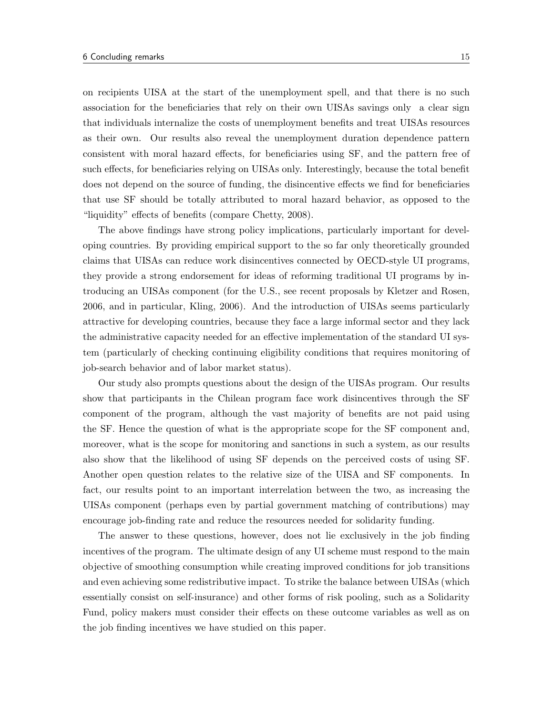on recipients UISA at the start of the unemployment spell, and that there is no such association for the beneficiaries that rely on their own UISAs savings only a clear sign that individuals internalize the costs of unemployment benefits and treat UISAs resources as their own. Our results also reveal the unemployment duration dependence pattern consistent with moral hazard effects, for beneficiaries using SF, and the pattern free of such effects, for beneficiaries relying on UISAs only. Interestingly, because the total benefit does not depend on the source of funding, the disincentive effects we find for beneficiaries that use SF should be totally attributed to moral hazard behavior, as opposed to the "liquidity" effects of benefits (compare Chetty, 2008).

The above findings have strong policy implications, particularly important for developing countries. By providing empirical support to the so far only theoretically grounded claims that UISAs can reduce work disincentives connected by OECD-style UI programs, they provide a strong endorsement for ideas of reforming traditional UI programs by introducing an UISAs component (for the U.S., see recent proposals by Kletzer and Rosen, 2006, and in particular, Kling, 2006). And the introduction of UISAs seems particularly attractive for developing countries, because they face a large informal sector and they lack the administrative capacity needed for an effective implementation of the standard UI system (particularly of checking continuing eligibility conditions that requires monitoring of job-search behavior and of labor market status).

Our study also prompts questions about the design of the UISAs program. Our results show that participants in the Chilean program face work disincentives through the SF component of the program, although the vast majority of benefits are not paid using the SF. Hence the question of what is the appropriate scope for the SF component and, moreover, what is the scope for monitoring and sanctions in such a system, as our results also show that the likelihood of using SF depends on the perceived costs of using SF. Another open question relates to the relative size of the UISA and SF components. In fact, our results point to an important interrelation between the two, as increasing the UISAs component (perhaps even by partial government matching of contributions) may encourage job-finding rate and reduce the resources needed for solidarity funding.

The answer to these questions, however, does not lie exclusively in the job finding incentives of the program. The ultimate design of any UI scheme must respond to the main objective of smoothing consumption while creating improved conditions for job transitions and even achieving some redistributive impact. To strike the balance between UISAs (which essentially consist on self-insurance) and other forms of risk pooling, such as a Solidarity Fund, policy makers must consider their effects on these outcome variables as well as on the job finding incentives we have studied on this paper.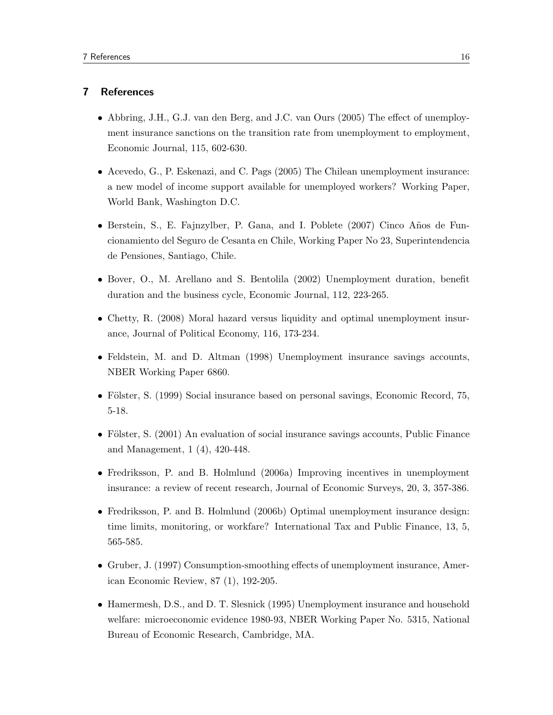## 7 References

- Abbring, J.H., G.J. van den Berg, and J.C. van Ours (2005) The effect of unemployment insurance sanctions on the transition rate from unemployment to employment, Economic Journal, 115, 602-630.
- Acevedo, G., P. Eskenazi, and C. Pags (2005) The Chilean unemployment insurance: a new model of income support available for unemployed workers? Working Paper, World Bank, Washington D.C.
- Berstein, S., E. Fajnzylber, P. Gana, and I. Poblete (2007) Cinco Años de Funcionamiento del Seguro de Cesanta en Chile, Working Paper No 23, Superintendencia de Pensiones, Santiago, Chile.
- Bover, O., M. Arellano and S. Bentolila (2002) Unemployment duration, benefit duration and the business cycle, Economic Journal, 112, 223-265.
- Chetty, R. (2008) Moral hazard versus liquidity and optimal unemployment insurance, Journal of Political Economy, 116, 173-234.
- Feldstein, M. and D. Altman (1998) Unemployment insurance savings accounts, NBER Working Paper 6860.
- Fölster, S. (1999) Social insurance based on personal savings, Economic Record, 75, 5-18.
- Fölster, S. (2001) An evaluation of social insurance savings accounts, Public Finance and Management, 1 (4), 420-448.
- Fredriksson, P. and B. Holmlund (2006a) Improving incentives in unemployment insurance: a review of recent research, Journal of Economic Surveys, 20, 3, 357-386.
- Fredriksson, P. and B. Holmlund (2006b) Optimal unemployment insurance design: time limits, monitoring, or workfare? International Tax and Public Finance, 13, 5, 565-585.
- Gruber, J. (1997) Consumption-smoothing effects of unemployment insurance, American Economic Review, 87 (1), 192-205.
- Hamermesh, D.S., and D. T. Slesnick (1995) Unemployment insurance and household welfare: microeconomic evidence 1980-93, NBER Working Paper No. 5315, National Bureau of Economic Research, Cambridge, MA.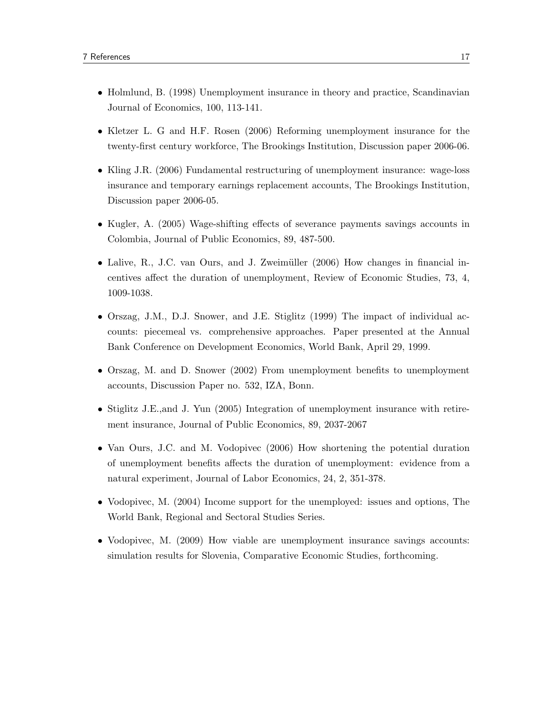- Holmlund, B. (1998) Unemployment insurance in theory and practice, Scandinavian Journal of Economics, 100, 113-141.
- Kletzer L. G and H.F. Rosen (2006) Reforming unemployment insurance for the twenty-first century workforce, The Brookings Institution, Discussion paper 2006-06.
- Kling J.R. (2006) Fundamental restructuring of unemployment insurance: wage-loss insurance and temporary earnings replacement accounts, The Brookings Institution, Discussion paper 2006-05.
- Kugler, A. (2005) Wage-shifting effects of severance payments savings accounts in Colombia, Journal of Public Economics, 89, 487-500.
- Lalive, R., J.C. van Ours, and J. Zweimüller (2006) How changes in financial incentives affect the duration of unemployment, Review of Economic Studies, 73, 4, 1009-1038.
- Orszag, J.M., D.J. Snower, and J.E. Stiglitz (1999) The impact of individual accounts: piecemeal vs. comprehensive approaches. Paper presented at the Annual Bank Conference on Development Economics, World Bank, April 29, 1999.
- Orszag, M. and D. Snower (2002) From unemployment benefits to unemployment accounts, Discussion Paper no. 532, IZA, Bonn.
- Stiglitz J.E.,and J. Yun (2005) Integration of unemployment insurance with retirement insurance, Journal of Public Economics, 89, 2037-2067
- Van Ours, J.C. and M. Vodopivec (2006) How shortening the potential duration of unemployment benefits affects the duration of unemployment: evidence from a natural experiment, Journal of Labor Economics, 24, 2, 351-378.
- Vodopivec, M. (2004) Income support for the unemployed: issues and options, The World Bank, Regional and Sectoral Studies Series.
- Vodopivec, M. (2009) How viable are unemployment insurance savings accounts: simulation results for Slovenia, Comparative Economic Studies, forthcoming.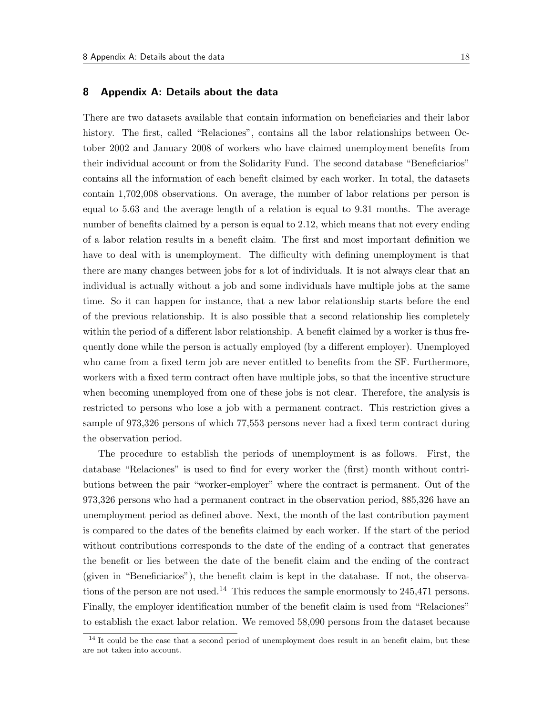#### 8 Appendix A: Details about the data

There are two datasets available that contain information on beneficiaries and their labor history. The first, called "Relaciones", contains all the labor relationships between October 2002 and January 2008 of workers who have claimed unemployment benefits from their individual account or from the Solidarity Fund. The second database "Beneficiarios" contains all the information of each benefit claimed by each worker. In total, the datasets contain 1,702,008 observations. On average, the number of labor relations per person is equal to 5.63 and the average length of a relation is equal to 9.31 months. The average number of benefits claimed by a person is equal to 2.12, which means that not every ending of a labor relation results in a benefit claim. The first and most important definition we have to deal with is unemployment. The difficulty with defining unemployment is that there are many changes between jobs for a lot of individuals. It is not always clear that an individual is actually without a job and some individuals have multiple jobs at the same time. So it can happen for instance, that a new labor relationship starts before the end of the previous relationship. It is also possible that a second relationship lies completely within the period of a different labor relationship. A benefit claimed by a worker is thus frequently done while the person is actually employed (by a different employer). Unemployed who came from a fixed term job are never entitled to benefits from the SF. Furthermore, workers with a fixed term contract often have multiple jobs, so that the incentive structure when becoming unemployed from one of these jobs is not clear. Therefore, the analysis is restricted to persons who lose a job with a permanent contract. This restriction gives a sample of 973,326 persons of which 77,553 persons never had a fixed term contract during the observation period.

The procedure to establish the periods of unemployment is as follows. First, the database "Relaciones" is used to find for every worker the (first) month without contributions between the pair "worker-employer" where the contract is permanent. Out of the 973,326 persons who had a permanent contract in the observation period, 885,326 have an unemployment period as defined above. Next, the month of the last contribution payment is compared to the dates of the benefits claimed by each worker. If the start of the period without contributions corresponds to the date of the ending of a contract that generates the benefit or lies between the date of the benefit claim and the ending of the contract (given in "Beneficiarios"), the benefit claim is kept in the database. If not, the observations of the person are not used.<sup>14</sup> This reduces the sample enormously to 245,471 persons. Finally, the employer identification number of the benefit claim is used from "Relaciones" to establish the exact labor relation. We removed 58,090 persons from the dataset because

<sup>&</sup>lt;sup>14</sup> It could be the case that a second period of unemployment does result in an benefit claim, but these are not taken into account.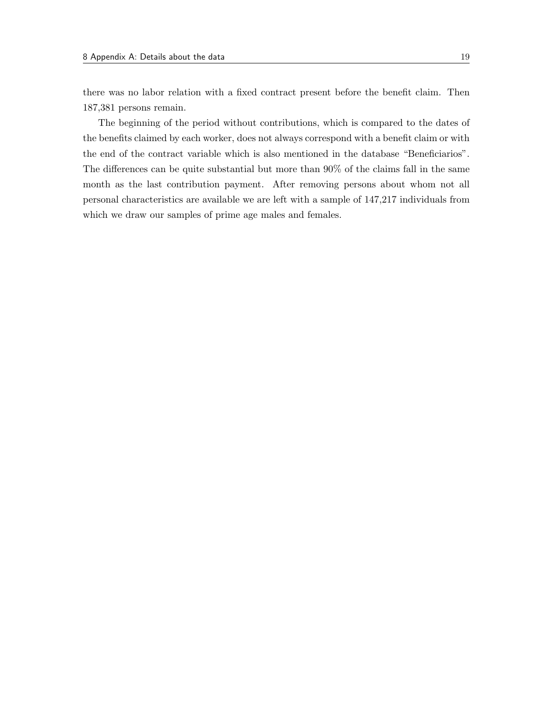there was no labor relation with a fixed contract present before the benefit claim. Then 187,381 persons remain.

The beginning of the period without contributions, which is compared to the dates of the benefits claimed by each worker, does not always correspond with a benefit claim or with the end of the contract variable which is also mentioned in the database "Beneficiarios". The differences can be quite substantial but more than 90% of the claims fall in the same month as the last contribution payment. After removing persons about whom not all personal characteristics are available we are left with a sample of 147,217 individuals from which we draw our samples of prime age males and females.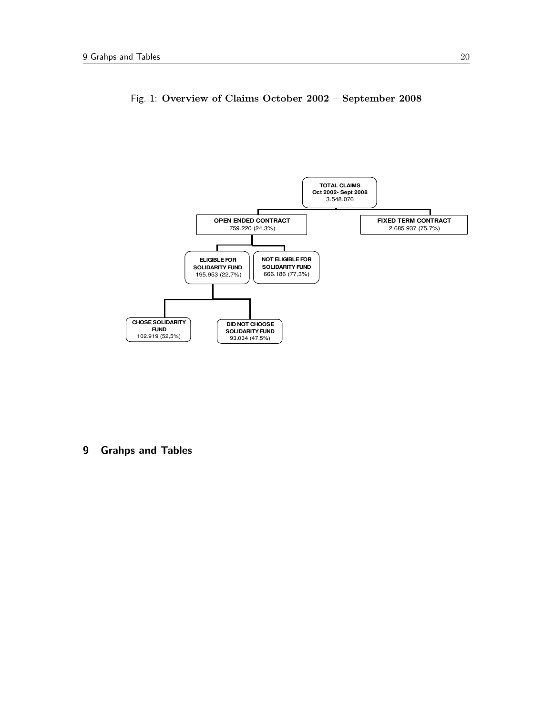



9 Grahps and Tables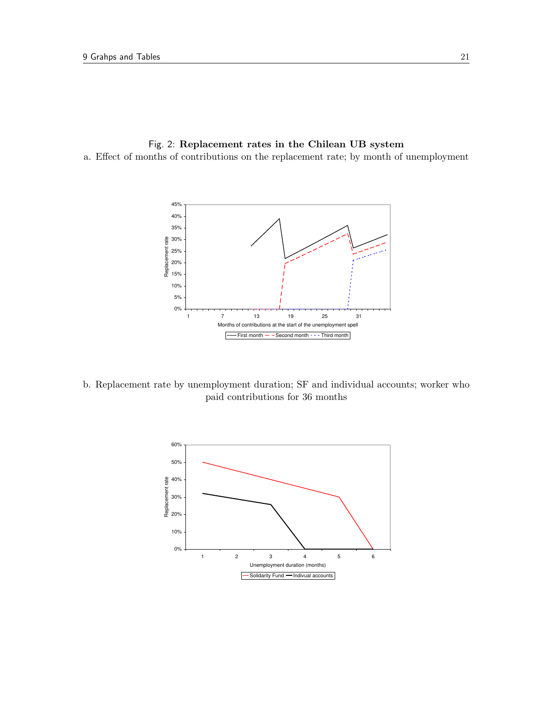# Fig. 2: Replacement rates in the Chilean UB system a. Effect of months of contributions on the replacement rate; by month of unemployment



b. Replacement rate by unemployment duration; SF and individual accounts; worker who paid contributions for 36 months

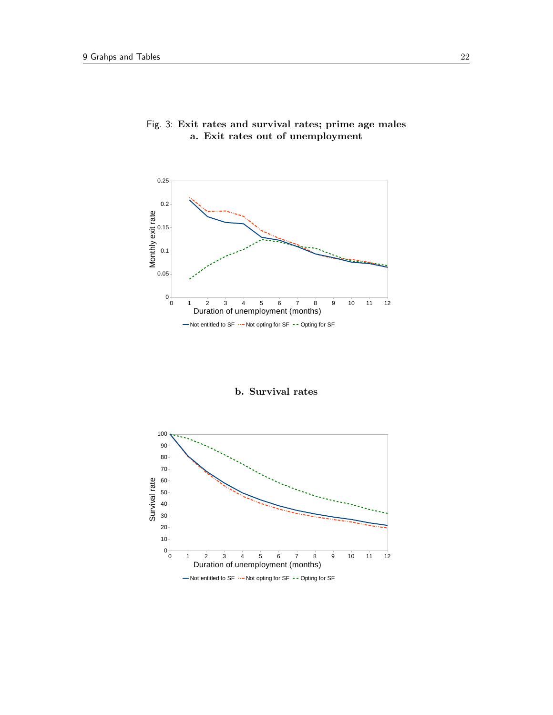

# Fig. 3: Exit rates and survival rates; prime age males a. Exit rates out of unemployment

b. Survival rates

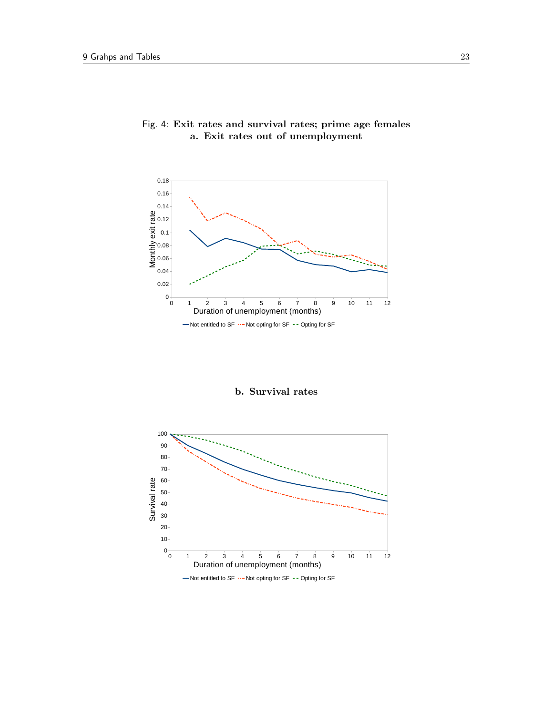

# Fig. 4: Exit rates and survival rates; prime age females a. Exit rates out of unemployment

b. Survival rates

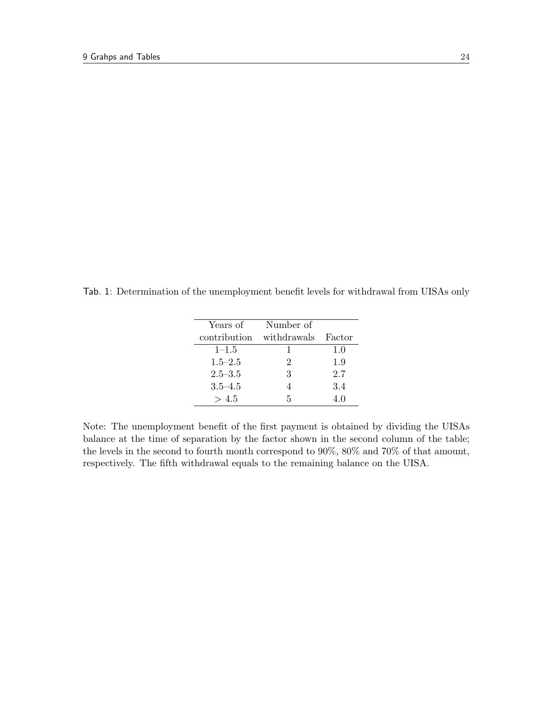Tab. 1: Determination of the unemployment benefit levels for withdrawal from UISAs only

| Years of            | Number of                   |        |
|---------------------|-----------------------------|--------|
| <i>contribution</i> | withdrawals                 | Factor |
| $1 - 1.5$           | ı                           | 1.0    |
| $1.5 - 2.5$         | $\mathcal{D}_{\mathcal{L}}$ | 1.9    |
| $2.5 - 3.5$         | 3                           | 2.7    |
| $3.5 - 4.5$         |                             | 3.4    |
| > 4.5               | 5                           | 4.0    |
|                     |                             |        |

Note: The unemployment benefit of the first payment is obtained by dividing the UISAs balance at the time of separation by the factor shown in the second column of the table; the levels in the second to fourth month correspond to 90%, 80% and 70% of that amount, respectively. The fifth withdrawal equals to the remaining balance on the UISA.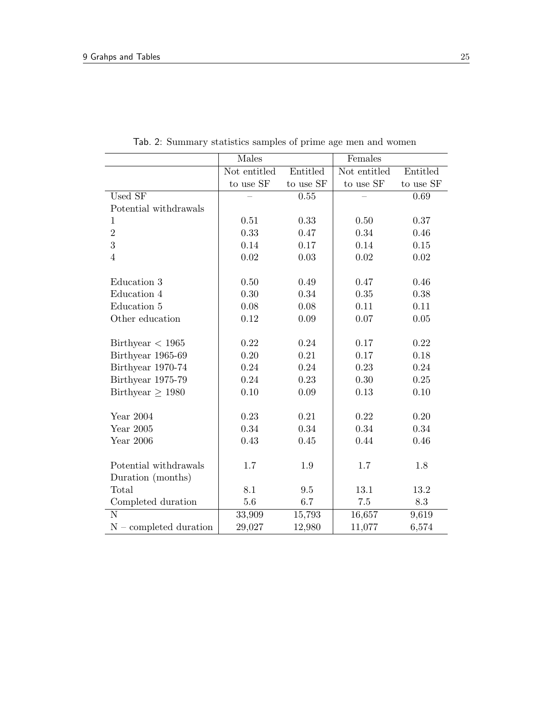|                          | Males        |           | Females      |           |
|--------------------------|--------------|-----------|--------------|-----------|
|                          | Not entitled | Entitled  | Not entitled | Entitled  |
|                          | to use SF    | to use SF | to use SF    | to use SF |
| Used SF                  |              | $0.55\,$  |              | 0.69      |
| Potential withdrawals    |              |           |              |           |
| 1                        | 0.51         | 0.33      | 0.50         | 0.37      |
| $\overline{2}$           | 0.33         | 0.47      | 0.34         | 0.46      |
| 3                        | 0.14         | 0.17      | 0.14         | 0.15      |
| $\overline{4}$           | 0.02         | 0.03      | 0.02         | 0.02      |
|                          |              |           |              |           |
| Education 3              | 0.50         | 0.49      | 0.47         | 0.46      |
| Education 4              | 0.30         | 0.34      | 0.35         | 0.38      |
| Education 5              | 0.08         | 0.08      | 0.11         | 0.11      |
| Other education          | 0.12         | 0.09      | 0.07         | 0.05      |
|                          |              |           |              |           |
| Birthyear $< 1965$       | 0.22         | 0.24      | 0.17         | 0.22      |
| Birthyear 1965-69        | 0.20         | 0.21      | 0.17         | 0.18      |
| Birthyear 1970-74        | 0.24         | 0.24      | 0.23         | 0.24      |
| Birthyear 1975-79        | 0.24         | 0.23      | 0.30         | 0.25      |
| Birthyear $\geq$ 1980    | 0.10         | 0.09      | 0.13         | 0.10      |
|                          |              |           |              |           |
| Year 2004                | 0.23         | 0.21      | 0.22         | 0.20      |
| Year $2005$              | 0.34         | 0.34      | 0.34         | 0.34      |
| Year 2006                | 0.43         | 0.45      | 0.44         | 0.46      |
|                          |              |           |              |           |
| Potential withdrawals    | 1.7          | 1.9       | 1.7          | 1.8       |
| Duration (months)        |              |           |              |           |
| Total                    | 8.1          | 9.5       | 13.1         | 13.2      |
| Completed duration       | $5.6\,$      | 6.7       | 7.5          | 8.3       |
| ${\bf N}$                | 33,909       | 15,793    | 16,657       | 9,619     |
| $N$ – completed duration | 29,027       | 12,980    | 11,077       | 6,574     |

Tab. 2: Summary statistics samples of prime age men and women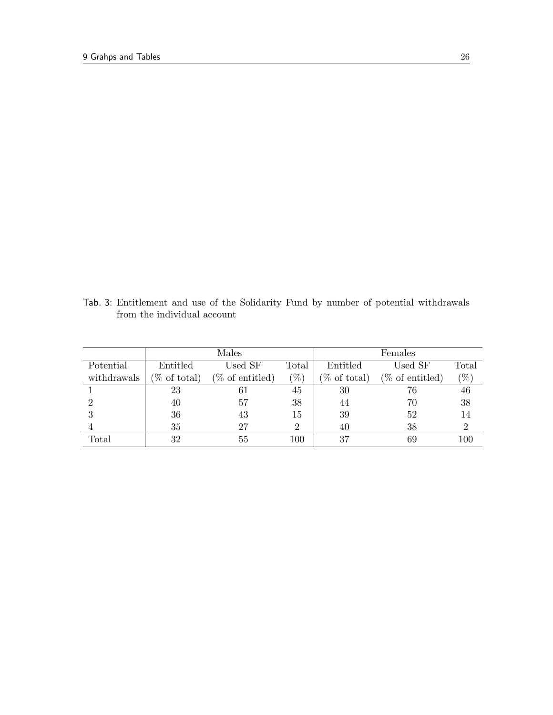Tab. 3: Entitlement and use of the Solidarity Fund by number of potential withdrawals from the individual account

|             | Males        |                    | Females        |                |                    |         |
|-------------|--------------|--------------------|----------------|----------------|--------------------|---------|
| Potential   | Entitled     | Used SF            | $\text{Total}$ | Entitled       | Used SF            | Total   |
| withdrawals | (% of total) | $(\%$ of entitled) | $(\%)$         | $\%$ of total) | $(\%$ of entitled) | $(\% )$ |
|             | 23           | 61                 | 45             | 30             | 76                 | 46      |
|             | 40           | 57                 | 38             | 44             | 70                 | 38      |
| 3           | 36           | 43                 | 15             | 39             | 52                 | 14      |
| 4           | 35           | 27                 | $\overline{2}$ | 40             | 38                 |         |
| Total       | 32           | 55                 | 100            | 37             | 69                 | 100     |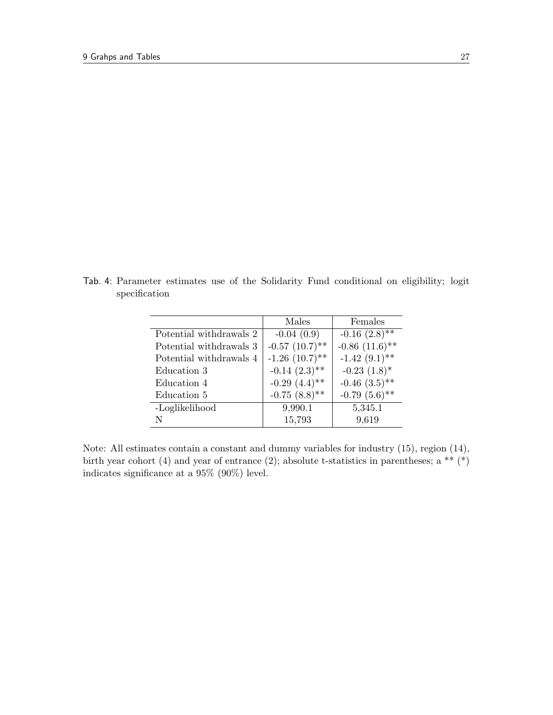Tab. 4: Parameter estimates use of the Solidarity Fund conditional on eligibility; logit specification

|                         | Males               | Females                       |
|-------------------------|---------------------|-------------------------------|
| Potential withdrawals 2 | $-0.04(0.9)$        | $-0.16$ $(2.8)$ <sup>**</sup> |
| Potential withdrawals 3 | $-0.57$ $(10.7)$ ** | $-0.86$ $(11.6)$ **           |
| Potential withdrawals 4 | $-1.26$ $(10.7)$ ** | $-1.42(9.1)$ **               |
| Education 3             | $-0.14$ $(2.3)$ **  | $-0.23$ $(1.8)$ <sup>*</sup>  |
| Education 4             | $-0.29(4.4)$ **     | $-0.46$ $(3.5)$ **            |
| Education 5             | $-0.75(8.8)$ **     | $-0.79(5.6)$ **               |
| -Loglikelihood          | 9,990.1             | 5,345.1                       |
| N                       | 15,793              | 9,619                         |

Note: All estimates contain a constant and dummy variables for industry (15), region (14), birth year cohort (4) and year of entrance (2); absolute t-statistics in parentheses; a \*\* (\*) indicates significance at a 95% (90%) level.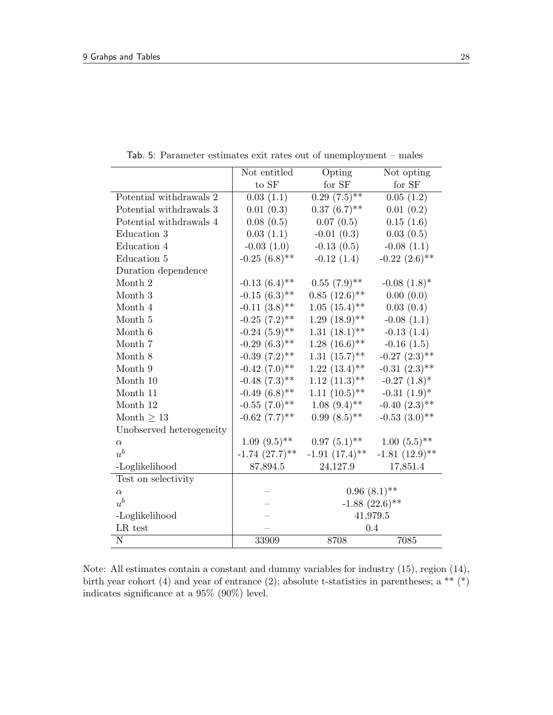|                          | Not entitled                   | Opting                         | Not opting                    |  |
|--------------------------|--------------------------------|--------------------------------|-------------------------------|--|
|                          | to SF                          | for $SF$                       | for $\rm SF$                  |  |
| Potential withdrawals 2  | 0.03(1.1)                      | $0.29(7.5)$ **                 | 0.05(1.2)                     |  |
| Potential withdrawals 3  | 0.01(0.3)                      | $0.37~(6.7)$ **                | 0.01(0.2)                     |  |
| Potential withdrawals 4  | 0.08(0.5)                      | 0.07(0.5)                      | 0.15(1.6)                     |  |
| Education 3              | 0.03(1.1)                      | $-0.01(0.3)$                   | 0.03(0.5)                     |  |
| Education 4              | $-0.03(1.0)$                   | $-0.13(0.5)$                   | $-0.08(1.1)$                  |  |
| Education 5              | $-0.25(6.8)$ **                | $-0.12(1.4)$                   | $-0.22$ $(2.6)$ <sup>**</sup> |  |
| Duration dependence      |                                |                                |                               |  |
| Month 2                  | $-0.13(6.4)$ **                | $0.55(7.9)$ **                 | $-0.08$ $(1.8)$ <sup>*</sup>  |  |
| Month 3                  | $-0.15(6.3)$ **                | $0.85~(12.6)$ **               | 0.00(0.0)                     |  |
| Month 4                  | $-0.11(3.8)$ **                | $1.05(15.4)$ **                | 0.03(0.4)                     |  |
| Month 5                  | $-0.25$ $(7.2)$ **             | $1.29(18.9)$ **                | $-0.08(1.1)$                  |  |
| Month 6                  | $-0.24$ $(5.9)$ **             | $1.31~(18.1)$ **               | $-0.13(1.4)$                  |  |
| Month 7                  | $-0.29(6.3)$ **                | $1.28(16.6)$ **                | $-0.16(1.5)$                  |  |
| Month 8                  | $-0.39(7.2)$ **                | $1.31~(15.7)$ **               | $-0.27$ $(2.3)$ **            |  |
| Month 9                  | $-0.42$ (7.0) <sup>**</sup>    | $1.22~(13.4)$ **               | $-0.31(2.3)$ **               |  |
| Month 10                 | $-0.48$ $(7.3)$ **             | $1.12 (11.3)$ **               | $-0.27$ $(1.8)$ <sup>*</sup>  |  |
| Month 11                 | $-0.49(6.8)$ **                | $1.11 \ (10.5)^{**}$           | $-0.31(1.9)$ *                |  |
| Month 12                 | $-0.55$ $(7.0)$ **             | $1.08(9.4)$ **                 | $-0.40(2.3)$ **               |  |
| Month $\geq 13$          | $-0.62$ $(7.7)$ <sup>**</sup>  | $0.99(8.5)$ **                 | $-0.53(3.0)$ **               |  |
| Unobserved heterogeneity |                                |                                |                               |  |
| $\alpha$                 | $1.09(9.5)$ **                 | $0.97(5.1)$ **                 | $1.00(5.5)$ **                |  |
| $u^b$                    | $-1.74$ $(27.7)$ <sup>**</sup> | $-1.91(17.4)$ **               | $-1.81$ $(12.9)$ **           |  |
| -Loglikelihood           | 87,894.5                       | 24,127.9                       | 17,851.4                      |  |
| Test on selectivity      |                                |                                |                               |  |
| $\alpha$                 |                                | $0.96(8.1)$ **                 |                               |  |
| $u^b$                    |                                | $-1.88$ $(22.6)$ <sup>**</sup> |                               |  |
| -Loglikelihood           |                                | 41,979.5                       |                               |  |
| LR test                  |                                | 0.4                            |                               |  |
| N                        | 33909                          | 8708                           | 7085                          |  |

Tab. 5: Parameter estimates exit rates out of unemployment – males

Note: All estimates contain a constant and dummy variables for industry (15), region (14), birth year cohort (4) and year of entrance (2); absolute t-statistics in parentheses; a \*\*  $(*)$ indicates significance at a 95% (90%) level.